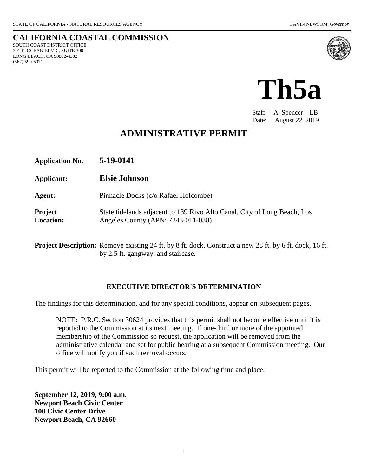SOUTH COAST DISTRICT OFFICE 301 E. OCEAN BLVD., SUITE 300 LONG BEACH, CA 90802-4302

(562) 590-5071

**CALIFORNIA COASTAL COMMISSION**





Staff: A. Spencer – LB Date: August 22, 2019

# **ADMINISTRATIVE PERMIT**

| <b>Application No.</b>             | 5-19-0141                                                                                                       |
|------------------------------------|-----------------------------------------------------------------------------------------------------------------|
| Applicant:                         | <b>Elsie Johnson</b>                                                                                            |
| Agent:                             | Pinnacle Docks (c/o Rafael Holcombe)                                                                            |
| <b>Project</b><br><b>Location:</b> | State tidelands adjacent to 139 Rivo Alto Canal, City of Long Beach, Los<br>Angeles County (APN: 7243-011-038). |

**Project Description:** Remove existing 24 ft. by 8 ft. dock. Construct a new 28 ft. by 6 ft. dock, 16 ft. by 2.5 ft. gangway, and staircase.

#### **EXECUTIVE DIRECTOR'S DETERMINATION**

The findings for this determination, and for any special conditions, appear on subsequent pages.

NOTE: P.R.C. Section 30624 provides that this permit shall not become effective until it is reported to the Commission at its next meeting. If one-third or more of the appointed membership of the Commission so request, the application will be removed from the administrative calendar and set for public hearing at a subsequent Commission meeting. Our office will notify you if such removal occurs.

This permit will be reported to the Commission at the following time and place:

**September 12, 2019, 9:00 a.m. Newport Beach Civic Center 100 Civic Center Drive Newport Beach, CA 92660**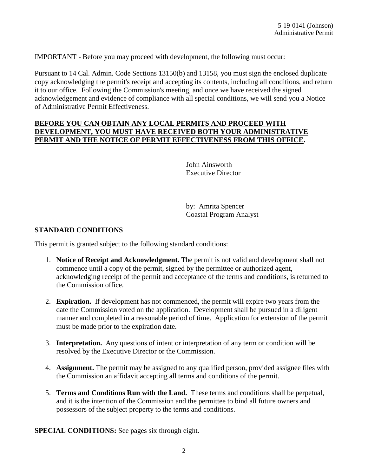#### IMPORTANT - Before you may proceed with development, the following must occur:

Pursuant to 14 Cal. Admin. Code Sections 13150(b) and 13158, you must sign the enclosed duplicate copy acknowledging the permit's receipt and accepting its contents, including all conditions, and return it to our office. Following the Commission's meeting, and once we have received the signed acknowledgement and evidence of compliance with all special conditions, we will send you a Notice of Administrative Permit Effectiveness.

#### **BEFORE YOU CAN OBTAIN ANY LOCAL PERMITS AND PROCEED WITH DEVELOPMENT, YOU MUST HAVE RECEIVED BOTH YOUR ADMINISTRATIVE PERMIT AND THE NOTICE OF PERMIT EFFECTIVENESS FROM THIS OFFICE.**

John Ainsworth Executive Director

by: Amrita Spencer Coastal Program Analyst

#### **STANDARD CONDITIONS**

This permit is granted subject to the following standard conditions:

- 1. **Notice of Receipt and Acknowledgment.** The permit is not valid and development shall not commence until a copy of the permit, signed by the permittee or authorized agent, acknowledging receipt of the permit and acceptance of the terms and conditions, is returned to the Commission office.
- 2. **Expiration.** If development has not commenced, the permit will expire two years from the date the Commission voted on the application. Development shall be pursued in a diligent manner and completed in a reasonable period of time. Application for extension of the permit must be made prior to the expiration date.
- 3. **Interpretation.** Any questions of intent or interpretation of any term or condition will be resolved by the Executive Director or the Commission.
- 4. **Assignment.** The permit may be assigned to any qualified person, provided assignee files with the Commission an affidavit accepting all terms and conditions of the permit.
- 5. **Terms and Conditions Run with the Land.** These terms and conditions shall be perpetual, and it is the intention of the Commission and the permittee to bind all future owners and possessors of the subject property to the terms and conditions.

**SPECIAL CONDITIONS:** See pages six through eight.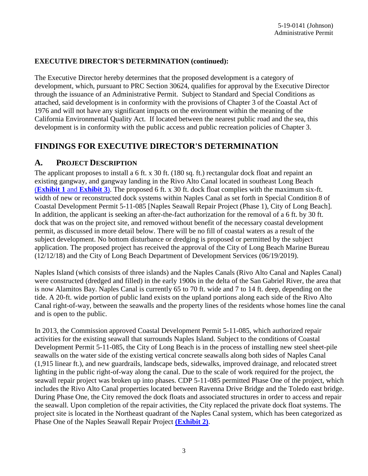### **EXECUTIVE DIRECTOR'S DETERMINATION (continued):**

The Executive Director hereby determines that the proposed development is a category of development, which, pursuant to PRC Section 30624, qualifies for approval by the Executive Director through the issuance of an Administrative Permit. Subject to Standard and Special Conditions as attached, said development is in conformity with the provisions of Chapter 3 of the Coastal Act of 1976 and will not have any significant impacts on the environment within the meaning of the California Environmental Quality Act. If located between the nearest public road and the sea, this development is in conformity with the public access and public recreation policies of Chapter 3.

## **FINDINGS FOR EXECUTIVE DIRECTOR'S DETERMINATION**

### **A. PROJECT DESCRIPTION**

The applicant proposes to install a 6 ft. x 30 ft. (180 sq. ft.) rectangular dock float and repaint an existing gangway, and gangway landing in the Rivo Alto Canal located in southeast Long Beach (**[Exhibit 1](https://documents.coastal.ca.gov/reports/2019/9/Th5a/Th5a-9-2019-exhibits.pdf)** and **Exhibit 3**). The proposed 6 ft. x 30 ft. dock float complies with the maximum six-ft. width of new or reconstructed dock systems within Naples Canal as set forth in Special Condition 8 of Coastal Development Permit 5-11-085 [Naples Seawall Repair Project (Phase 1), City of Long Beach]. In addition, the applicant is seeking an after-the-fact authorization for the removal of a 6 ft. by 30 ft. dock that was on the project site, and removed without benefit of the necessary coastal development permit, as discussed in more detail below. There will be no fill of coastal waters as a result of the subject development. No bottom disturbance or dredging is proposed or permitted by the subject application. The proposed project has received the approval of the City of Long Beach Marine Bureau (12/12/18) and the City of Long Beach Department of Development Services (06/19/2019).

Naples Island (which consists of three islands) and the Naples Canals (Rivo Alto Canal and Naples Canal) were constructed (dredged and filled) in the early 1900s in the delta of the San Gabriel River, the area that is now Alamitos Bay. Naples Canal is currently 65 to 70 ft. wide and 7 to 14 ft. deep, depending on the tide. A 20-ft. wide portion of public land exists on the upland portions along each side of the Rivo Alto Canal right-of-way, between the seawalls and the property lines of the residents whose homes line the canal and is open to the public.

In 2013, the Commission approved Coastal Development Permit 5-11-085, which authorized repair activities for the existing seawall that surrounds Naples Island. Subject to the conditions of Coastal Development Permit 5-11-085, the City of Long Beach is in the process of installing new steel sheet-pile seawalls on the water side of the existing vertical concrete seawalls along both sides of Naples Canal (1,915 linear ft.), and new guardrails, landscape beds, sidewalks, improved drainage, and relocated street lighting in the public right-of-way along the canal. Due to the scale of work required for the project, the seawall repair project was broken up into phases. CDP 5-11-085 permitted Phase One of the project, which includes the Rivo Alto Canal properties located between Ravenna Drive Bridge and the Toledo east bridge. During Phase One, the City removed the dock floats and associated structures in order to access and repair the seawall. Upon completion of the repair activities, the City replaced the private dock float systems. The project site is located in the Northeast quadrant of the Naples Canal system, which has been categorized as Phase One of the Naples Seawall Repair Project **[\(Exhibit 2\)](https://documents.coastal.ca.gov/reports/2019/9/Th5a/Th5a-9-2019-exhibits.pdf)**.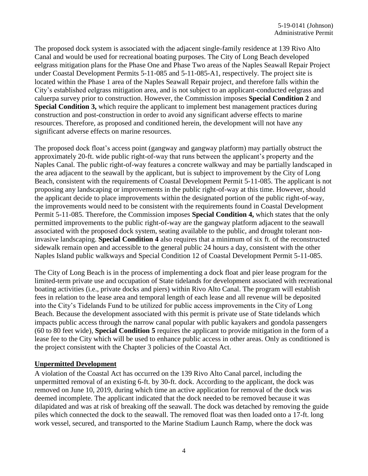The proposed dock system is associated with the adjacent single-family residence at 139 Rivo Alto Canal and would be used for recreational boating purposes. The City of Long Beach developed eelgrass mitigation plans for the Phase One and Phase Two areas of the Naples Seawall Repair Project under Coastal Development Permits 5-11-085 and 5-11-085-A1, respectively. The project site is located within the Phase 1 area of the Naples Seawall Repair project, and therefore falls within the City's established eelgrass mitigation area, and is not subject to an applicant-conducted eelgrass and caluerpa survey prior to construction. However, the Commission imposes **Special Condition 2** and **Special Condition 3,** which require the applicant to implement best management practices during construction and post-construction in order to avoid any significant adverse effects to marine resources. Therefore, as proposed and conditioned herein, the development will not have any significant adverse effects on marine resources.

The proposed dock float's access point (gangway and gangway platform) may partially obstruct the approximately 20-ft. wide public right-of-way that runs between the applicant's property and the Naples Canal. The public right-of-way features a concrete walkway and may be partially landscaped in the area adjacent to the seawall by the applicant, but is subject to improvement by the City of Long Beach, consistent with the requirements of Coastal Development Permit 5-11-085. The applicant is not proposing any landscaping or improvements in the public right-of-way at this time. However, should the applicant decide to place improvements within the designated portion of the public right-of-way, the improvements would need to be consistent with the requirements found in Coastal Development Permit 5-11-085. Therefore, the Commission imposes **Special Condition 4,** which states that the only permitted improvements to the public right-of-way are the gangway platform adjacent to the seawall associated with the proposed dock system, seating available to the public, and drought tolerant noninvasive landscaping. **Special Condition 4** also requires that a minimum of six ft. of the reconstructed sidewalk remain open and accessible to the general public 24 hours a day, consistent with the other Naples Island public walkways and Special Condition 12 of Coastal Development Permit 5-11-085.

The City of Long Beach is in the process of implementing a dock float and pier lease program for the limited-term private use and occupation of State tidelands for development associated with recreational boating activities (i.e., private docks and piers) within Rivo Alto Canal. The program will establish fees in relation to the lease area and temporal length of each lease and all revenue will be deposited into the City's Tidelands Fund to be utilized for public access improvements in the City of Long Beach. Because the development associated with this permit is private use of State tidelands which impacts public access through the narrow canal popular with public kayakers and gondola passengers (60 to 80 feet wide), **Special Condition 5** requires the applicant to provide mitigation in the form of a lease fee to the City which will be used to enhance public access in other areas. Only as conditioned is the project consistent with the Chapter 3 policies of the Coastal Act.

#### **Unpermitted Development**

A violation of the Coastal Act has occurred on the 139 Rivo Alto Canal parcel, including the unpermitted removal of an existing 6-ft. by 30-ft. dock. According to the applicant, the dock was removed on June 10, 2019, during which time an active application for removal of the dock was deemed incomplete. The applicant indicated that the dock needed to be removed because it was dilapidated and was at risk of breaking off the seawall. The dock was detached by removing the guide piles which connected the dock to the seawall. The removed float was then loaded onto a 17-ft. long work vessel, secured, and transported to the Marine Stadium Launch Ramp, where the dock was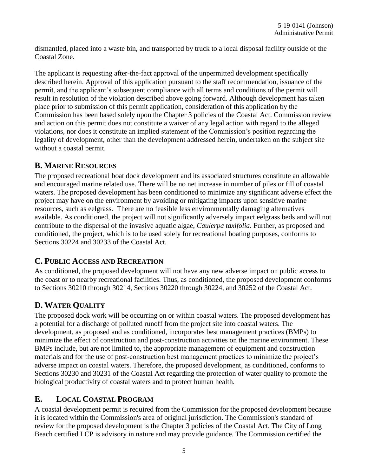dismantled, placed into a waste bin, and transported by truck to a local disposal facility outside of the Coastal Zone.

The applicant is requesting after-the-fact approval of the unpermitted development specifically described herein. Approval of this application pursuant to the staff recommendation, issuance of the permit, and the applicant's subsequent compliance with all terms and conditions of the permit will result in resolution of the violation described above going forward. Although development has taken place prior to submission of this permit application, consideration of this application by the Commission has been based solely upon the Chapter 3 policies of the Coastal Act. Commission review and action on this permit does not constitute a waiver of any legal action with regard to the alleged violations, nor does it constitute an implied statement of the Commission's position regarding the legality of development, other than the development addressed herein, undertaken on the subject site without a coastal permit.

## **B. MARINE RESOURCES**

The proposed recreational boat dock development and its associated structures constitute an allowable and encouraged marine related use. There will be no net increase in number of piles or fill of coastal waters. The proposed development has been conditioned to minimize any significant adverse effect the project may have on the environment by avoiding or mitigating impacts upon sensitive marine resources, such as eelgrass. There are no feasible less environmentally damaging alternatives available. As conditioned, the project will not significantly adversely impact eelgrass beds and will not contribute to the dispersal of the invasive aquatic algae, *Caulerpa taxifolia*. Further, as proposed and conditioned, the project, which is to be used solely for recreational boating purposes, conforms to Sections 30224 and 30233 of the Coastal Act.

## **C. PUBLIC ACCESS AND RECREATION**

As conditioned, the proposed development will not have any new adverse impact on public access to the coast or to nearby recreational facilities. Thus, as conditioned, the proposed development conforms to Sections 30210 through 30214, Sections 30220 through 30224, and 30252 of the Coastal Act.

# **D. WATER QUALITY**

The proposed dock work will be occurring on or within coastal waters. The proposed development has a potential for a discharge of polluted runoff from the project site into coastal waters. The development, as proposed and as conditioned, incorporates best management practices (BMPs) to minimize the effect of construction and post-construction activities on the marine environment. These BMPs include, but are not limited to, the appropriate management of equipment and construction materials and for the use of post-construction best management practices to minimize the project's adverse impact on coastal waters. Therefore, the proposed development, as conditioned, conforms to Sections 30230 and 30231 of the Coastal Act regarding the protection of water quality to promote the biological productivity of coastal waters and to protect human health.

## **E. LOCAL COASTAL PROGRAM**

A coastal development permit is required from the Commission for the proposed development because it is located within the Commission's area of original jurisdiction. The Commission's standard of review for the proposed development is the Chapter 3 policies of the Coastal Act. The City of Long Beach certified LCP is advisory in nature and may provide guidance. The Commission certified the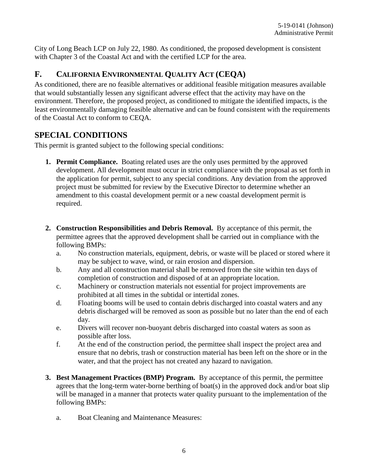City of Long Beach LCP on July 22, 1980. As conditioned, the proposed development is consistent with Chapter 3 of the Coastal Act and with the certified LCP for the area.

# **F. CALIFORNIA ENVIRONMENTAL QUALITY ACT (CEQA)**

As conditioned, there are no feasible alternatives or additional feasible mitigation measures available that would substantially lessen any significant adverse effect that the activity may have on the environment. Therefore, the proposed project, as conditioned to mitigate the identified impacts, is the least environmentally damaging feasible alternative and can be found consistent with the requirements of the Coastal Act to conform to CEQA.

## **SPECIAL CONDITIONS**

This permit is granted subject to the following special conditions:

- **1. Permit Compliance.** Boating related uses are the only uses permitted by the approved development. All development must occur in strict compliance with the proposal as set forth in the application for permit, subject to any special conditions. Any deviation from the approved project must be submitted for review by the Executive Director to determine whether an amendment to this coastal development permit or a new coastal development permit is required.
- **2. Construction Responsibilities and Debris Removal.** By acceptance of this permit, the permittee agrees that the approved development shall be carried out in compliance with the following BMPs:
	- a. No construction materials, equipment, debris, or waste will be placed or stored where it may be subject to wave, wind, or rain erosion and dispersion.
	- b. Any and all construction material shall be removed from the site within ten days of completion of construction and disposed of at an appropriate location.
	- c. Machinery or construction materials not essential for project improvements are prohibited at all times in the subtidal or intertidal zones.
	- d. Floating booms will be used to contain debris discharged into coastal waters and any debris discharged will be removed as soon as possible but no later than the end of each day.
	- e. Divers will recover non-buoyant debris discharged into coastal waters as soon as possible after loss.
	- f. At the end of the construction period, the permittee shall inspect the project area and ensure that no debris, trash or construction material has been left on the shore or in the water, and that the project has not created any hazard to navigation.
- **3. Best Management Practices (BMP) Program.** By acceptance of this permit, the permittee agrees that the long-term water-borne berthing of boat(s) in the approved dock and/or boat slip will be managed in a manner that protects water quality pursuant to the implementation of the following BMPs:
	- a. Boat Cleaning and Maintenance Measures: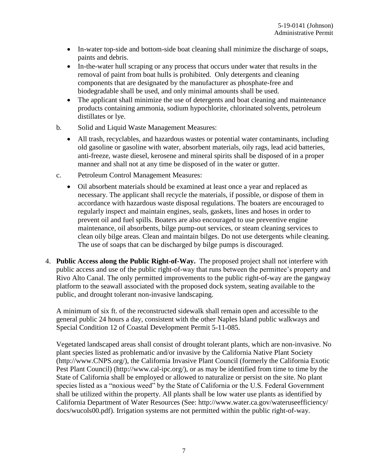- In-water top-side and bottom-side boat cleaning shall minimize the discharge of soaps, paints and debris.
- In-the-water hull scraping or any process that occurs under water that results in the removal of paint from boat hulls is prohibited. Only detergents and cleaning components that are designated by the manufacturer as phosphate-free and biodegradable shall be used, and only minimal amounts shall be used.
- The applicant shall minimize the use of detergents and boat cleaning and maintenance products containing ammonia, sodium hypochlorite, chlorinated solvents, petroleum distillates or lye.
- b. Solid and Liquid Waste Management Measures:
	- All trash, recyclables, and hazardous wastes or potential water contaminants, including old gasoline or gasoline with water, absorbent materials, oily rags, lead acid batteries, anti-freeze, waste diesel, kerosene and mineral spirits shall be disposed of in a proper manner and shall not at any time be disposed of in the water or gutter.
- c. Petroleum Control Management Measures:
	- Oil absorbent materials should be examined at least once a year and replaced as necessary. The applicant shall recycle the materials, if possible, or dispose of them in accordance with hazardous waste disposal regulations. The boaters are encouraged to regularly inspect and maintain engines, seals, gaskets, lines and hoses in order to prevent oil and fuel spills. Boaters are also encouraged to use preventive engine maintenance, oil absorbents, bilge pump-out services, or steam cleaning services to clean oily bilge areas. Clean and maintain bilges. Do not use detergents while cleaning. The use of soaps that can be discharged by bilge pumps is discouraged.
- 4. **Public Access along the Public Right-of-Way.** The proposed project shall not interfere with public access and use of the public right-of-way that runs between the permittee's property and Rivo Alto Canal. The only permitted improvements to the public right-of-way are the gangway platform to the seawall associated with the proposed dock system, seating available to the public, and drought tolerant non-invasive landscaping.

A minimum of six ft. of the reconstructed sidewalk shall remain open and accessible to the general public 24 hours a day, consistent with the other Naples Island public walkways and Special Condition 12 of Coastal Development Permit 5-11-085.

Vegetated landscaped areas shall consist of drought tolerant plants, which are non-invasive. No plant species listed as problematic and/or invasive by the California Native Plant Society (http://www.CNPS.org/), the California Invasive Plant Council (formerly the California Exotic Pest Plant Council) (http://www.cal-ipc.org/), or as may be identified from time to time by the State of California shall be employed or allowed to naturalize or persist on the site. No plant species listed as a "noxious weed" by the State of California or the U.S. Federal Government shall be utilized within the property. All plants shall be low water use plants as identified by California Department of Water Resources (See: http://www.water.ca.gov/wateruseefficiency/ docs/wucols00.pdf). Irrigation systems are not permitted within the public right-of-way.